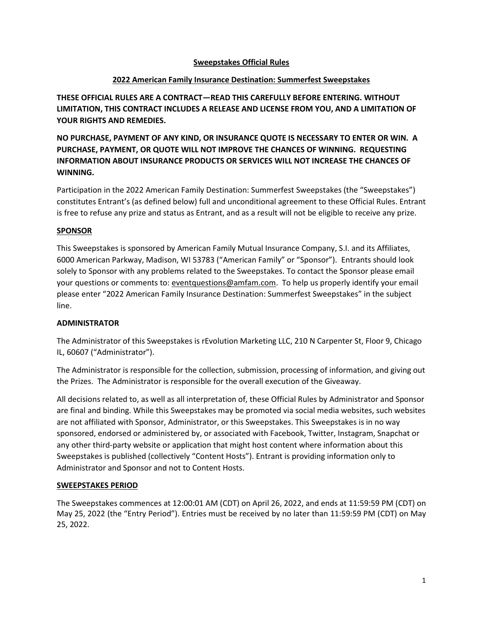### **Sweepstakes Official Rules**

### **2022 American Family Insurance Destination: Summerfest Sweepstakes**

**THESE OFFICIAL RULES ARE A CONTRACT—READ THIS CAREFULLY BEFORE ENTERING. WITHOUT LIMITATION, THIS CONTRACT INCLUDES A RELEASE AND LICENSE FROM YOU, AND A LIMITATION OF YOUR RIGHTS AND REMEDIES.**

**NO PURCHASE, PAYMENT OF ANY KIND, OR INSURANCE QUOTE IS NECESSARY TO ENTER OR WIN. A PURCHASE, PAYMENT, OR QUOTE WILL NOT IMPROVE THE CHANCES OF WINNING. REQUESTING INFORMATION ABOUT INSURANCE PRODUCTS OR SERVICES WILL NOT INCREASE THE CHANCES OF WINNING.**

Participation in the 2022 American Family Destination: Summerfest Sweepstakes (the "Sweepstakes") constitutes Entrant's (as defined below) full and unconditional agreement to these Official Rules. Entrant is free to refuse any prize and status as Entrant, and as a result will not be eligible to receive any prize.

### **SPONSOR**

This Sweepstakes is sponsored by American Family Mutual Insurance Company, S.I. and its Affiliates, 6000 American Parkway, Madison, WI 53783 ("American Family" or "Sponsor"). Entrants should look solely to Sponsor with any problems related to the Sweepstakes. To contact the Sponsor please email your questions or comments to[: eventquestions@amfam.com.](mailto:eventquestions@amfam.com) To help us properly identify your email please enter "2022 American Family Insurance Destination: Summerfest Sweepstakes" in the subject line.

### **ADMINISTRATOR**

The Administrator of this Sweepstakes is rEvolution Marketing LLC, 210 N Carpenter St, Floor 9, Chicago IL, 60607 ("Administrator").

The Administrator is responsible for the collection, submission, processing of information, and giving out the Prizes. The Administrator is responsible for the overall execution of the Giveaway.

All decisions related to, as well as all interpretation of, these Official Rules by Administrator and Sponsor are final and binding. While this Sweepstakes may be promoted via social media websites, such websites are not affiliated with Sponsor, Administrator, or this Sweepstakes. This Sweepstakes is in no way sponsored, endorsed or administered by, or associated with Facebook, Twitter, Instagram, Snapchat or any other third-party website or application that might host content where information about this Sweepstakes is published (collectively "Content Hosts"). Entrant is providing information only to Administrator and Sponsor and not to Content Hosts.

## **SWEEPSTAKES PERIOD**

The Sweepstakes commences at 12:00:01 AM (CDT) on April 26, 2022, and ends at 11:59:59 PM (CDT) on May 25, 2022 (the "Entry Period"). Entries must be received by no later than 11:59:59 PM (CDT) on May 25, 2022.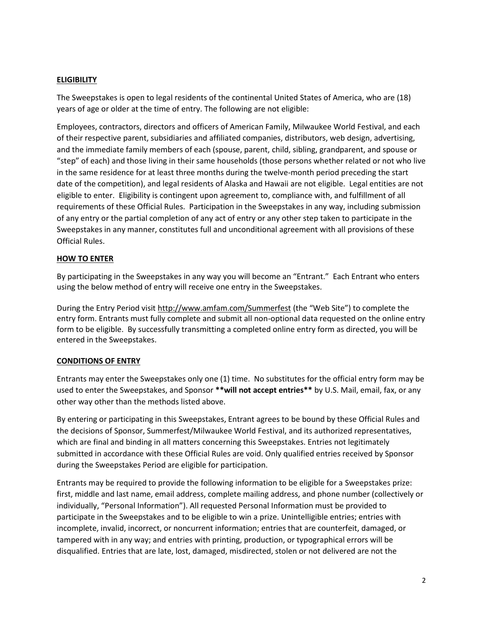## **ELIGIBILITY**

The Sweepstakes is open to legal residents of the continental United States of America, who are (18) years of age or older at the time of entry. The following are not eligible:

Employees, contractors, directors and officers of American Family, Milwaukee World Festival, and each of their respective parent, subsidiaries and affiliated companies, distributors, web design, advertising, and the immediate family members of each (spouse, parent, child, sibling, grandparent, and spouse or "step" of each) and those living in their same households (those persons whether related or not who live in the same residence for at least three months during the twelve-month period preceding the start date of the competition), and legal residents of Alaska and Hawaii are not eligible. Legal entities are not eligible to enter. Eligibility is contingent upon agreement to, compliance with, and fulfillment of all requirements of these Official Rules. Participation in the Sweepstakes in any way, including submission of any entry or the partial completion of any act of entry or any other step taken to participate in the Sweepstakes in any manner, constitutes full and unconditional agreement with all provisions of these Official Rules.

### **HOW TO ENTER**

By participating in the Sweepstakes in any way you will become an "Entrant." Each Entrant who enters using the below method of entry will receive one entry in the Sweepstakes.

During the Entry Period visit<http://www.amfam.com/Summerfest> (the "Web Site") to complete the entry form. Entrants must fully complete and submit all non-optional data requested on the online entry form to be eligible. By successfully transmitting a completed online entry form as directed, you will be entered in the Sweepstakes.

### **CONDITIONS OF ENTRY**

Entrants may enter the Sweepstakes only one (1) time. No substitutes for the official entry form may be used to enter the Sweepstakes, and Sponsor **\*\*will not accept entries\*\*** by U.S. Mail, email, fax, or any other way other than the methods listed above.

By entering or participating in this Sweepstakes, Entrant agrees to be bound by these Official Rules and the decisions of Sponsor, Summerfest/Milwaukee World Festival, and its authorized representatives, which are final and binding in all matters concerning this Sweepstakes. Entries not legitimately submitted in accordance with these Official Rules are void. Only qualified entries received by Sponsor during the Sweepstakes Period are eligible for participation.

Entrants may be required to provide the following information to be eligible for a Sweepstakes prize: first, middle and last name, email address, complete mailing address, and phone number (collectively or individually, "Personal Information"). All requested Personal Information must be provided to participate in the Sweepstakes and to be eligible to win a prize. Unintelligible entries; entries with incomplete, invalid, incorrect, or noncurrent information; entries that are counterfeit, damaged, or tampered with in any way; and entries with printing, production, or typographical errors will be disqualified. Entries that are late, lost, damaged, misdirected, stolen or not delivered are not the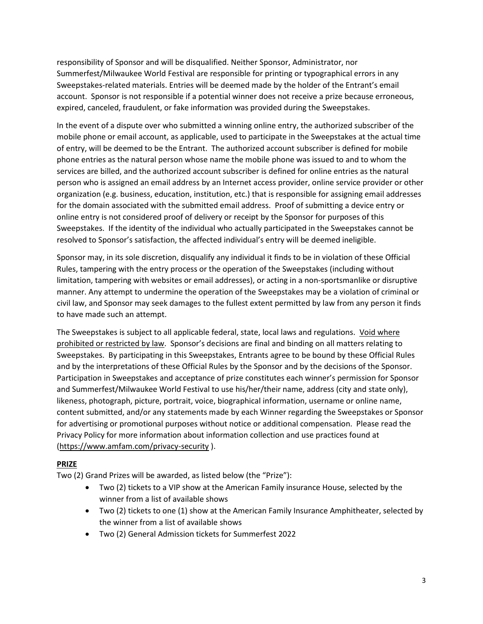responsibility of Sponsor and will be disqualified. Neither Sponsor, Administrator, nor Summerfest/Milwaukee World Festival are responsible for printing or typographical errors in any Sweepstakes-related materials. Entries will be deemed made by the holder of the Entrant's email account. Sponsor is not responsible if a potential winner does not receive a prize because erroneous, expired, canceled, fraudulent, or fake information was provided during the Sweepstakes.

In the event of a dispute over who submitted a winning online entry, the authorized subscriber of the mobile phone or email account, as applicable, used to participate in the Sweepstakes at the actual time of entry, will be deemed to be the Entrant. The authorized account subscriber is defined for mobile phone entries as the natural person whose name the mobile phone was issued to and to whom the services are billed, and the authorized account subscriber is defined for online entries as the natural person who is assigned an email address by an Internet access provider, online service provider or other organization (e.g. business, education, institution, etc.) that is responsible for assigning email addresses for the domain associated with the submitted email address. Proof of submitting a device entry or online entry is not considered proof of delivery or receipt by the Sponsor for purposes of this Sweepstakes. If the identity of the individual who actually participated in the Sweepstakes cannot be resolved to Sponsor's satisfaction, the affected individual's entry will be deemed ineligible.

Sponsor may, in its sole discretion, disqualify any individual it finds to be in violation of these Official Rules, tampering with the entry process or the operation of the Sweepstakes (including without limitation, tampering with websites or email addresses), or acting in a non-sportsmanlike or disruptive manner. Any attempt to undermine the operation of the Sweepstakes may be a violation of criminal or civil law, and Sponsor may seek damages to the fullest extent permitted by law from any person it finds to have made such an attempt.

The Sweepstakes is subject to all applicable federal, state, local laws and regulations. Void where prohibited or restricted by law. Sponsor's decisions are final and binding on all matters relating to Sweepstakes. By participating in this Sweepstakes, Entrants agree to be bound by these Official Rules and by the interpretations of these Official Rules by the Sponsor and by the decisions of the Sponsor. Participation in Sweepstakes and acceptance of prize constitutes each winner's permission for Sponsor and Summerfest/Milwaukee World Festival to use his/her/their name, address (city and state only), likeness, photograph, picture, portrait, voice, biographical information, username or online name, content submitted, and/or any statements made by each Winner regarding the Sweepstakes or Sponsor for advertising or promotional purposes without notice or additional compensation. Please read the Privacy Policy for more information about information collection and use practices found at [\(https://www.amfam.com/privacy-security](https://www.amfam.com/privacy-security) ).

### **PRIZE**

Two (2) Grand Prizes will be awarded, as listed below (the "Prize"):

- Two (2) tickets to a VIP show at the American Family insurance House, selected by the winner from a list of available shows
- Two (2) tickets to one (1) show at the American Family Insurance Amphitheater, selected by the winner from a list of available shows
- Two (2) General Admission tickets for Summerfest 2022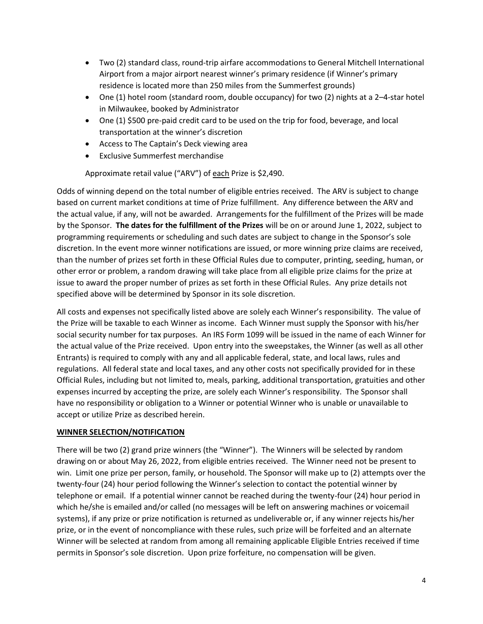- Two (2) standard class, round-trip airfare accommodations to General Mitchell International Airport from a major airport nearest winner's primary residence (if Winner's primary residence is located more than 250 miles from the Summerfest grounds)
- One (1) hotel room (standard room, double occupancy) for two (2) nights at a 2–4-star hotel in Milwaukee, booked by Administrator
- One (1) \$500 pre-paid credit card to be used on the trip for food, beverage, and local transportation at the winner's discretion
- Access to The Captain's Deck viewing area
- Exclusive Summerfest merchandise

Approximate retail value ("ARV") of each Prize is \$2,490.

Odds of winning depend on the total number of eligible entries received. The ARV is subject to change based on current market conditions at time of Prize fulfillment. Any difference between the ARV and the actual value, if any, will not be awarded. Arrangements for the fulfillment of the Prizes will be made by the Sponsor. **The dates for the fulfillment of the Prizes** will be on or around June 1, 2022, subject to programming requirements or scheduling and such dates are subject to change in the Sponsor's sole discretion. In the event more winner notifications are issued, or more winning prize claims are received, than the number of prizes set forth in these Official Rules due to computer, printing, seeding, human, or other error or problem, a random drawing will take place from all eligible prize claims for the prize at issue to award the proper number of prizes as set forth in these Official Rules. Any prize details not specified above will be determined by Sponsor in its sole discretion.

All costs and expenses not specifically listed above are solely each Winner's responsibility. The value of the Prize will be taxable to each Winner as income. Each Winner must supply the Sponsor with his/her social security number for tax purposes. An IRS Form 1099 will be issued in the name of each Winner for the actual value of the Prize received. Upon entry into the sweepstakes, the Winner (as well as all other Entrants) is required to comply with any and all applicable federal, state, and local laws, rules and regulations. All federal state and local taxes, and any other costs not specifically provided for in these Official Rules, including but not limited to, meals, parking, additional transportation, gratuities and other expenses incurred by accepting the prize, are solely each Winner's responsibility. The Sponsor shall have no responsibility or obligation to a Winner or potential Winner who is unable or unavailable to accept or utilize Prize as described herein.

### **WINNER SELECTION/NOTIFICATION**

There will be two (2) grand prize winners (the "Winner"). The Winners will be selected by random drawing on or about May 26, 2022, from eligible entries received. The Winner need not be present to win. Limit one prize per person, family, or household. The Sponsor will make up to (2) attempts over the twenty-four (24) hour period following the Winner's selection to contact the potential winner by telephone or email. If a potential winner cannot be reached during the twenty-four (24) hour period in which he/she is emailed and/or called (no messages will be left on answering machines or voicemail systems), if any prize or prize notification is returned as undeliverable or, if any winner rejects his/her prize, or in the event of noncompliance with these rules, such prize will be forfeited and an alternate Winner will be selected at random from among all remaining applicable Eligible Entries received if time permits in Sponsor's sole discretion. Upon prize forfeiture, no compensation will be given.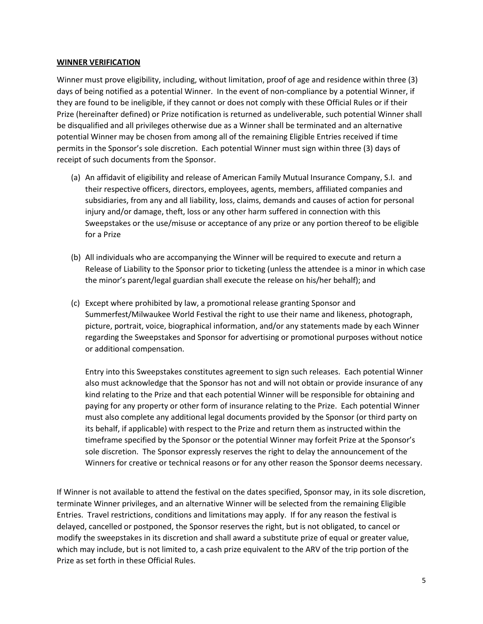#### **WINNER VERIFICATION**

Winner must prove eligibility, including, without limitation, proof of age and residence within three (3) days of being notified as a potential Winner. In the event of non-compliance by a potential Winner, if they are found to be ineligible, if they cannot or does not comply with these Official Rules or if their Prize (hereinafter defined) or Prize notification is returned as undeliverable, such potential Winner shall be disqualified and all privileges otherwise due as a Winner shall be terminated and an alternative potential Winner may be chosen from among all of the remaining Eligible Entries received if time permits in the Sponsor's sole discretion. Each potential Winner must sign within three (3) days of receipt of such documents from the Sponsor.

- (a) An affidavit of eligibility and release of American Family Mutual Insurance Company, S.I. and their respective officers, directors, employees, agents, members, affiliated companies and subsidiaries, from any and all liability, loss, claims, demands and causes of action for personal injury and/or damage, theft, loss or any other harm suffered in connection with this Sweepstakes or the use/misuse or acceptance of any prize or any portion thereof to be eligible for a Prize
- (b) All individuals who are accompanying the Winner will be required to execute and return a Release of Liability to the Sponsor prior to ticketing (unless the attendee is a minor in which case the minor's parent/legal guardian shall execute the release on his/her behalf); and
- (c) Except where prohibited by law, a promotional release granting Sponsor and Summerfest/Milwaukee World Festival the right to use their name and likeness, photograph, picture, portrait, voice, biographical information, and/or any statements made by each Winner regarding the Sweepstakes and Sponsor for advertising or promotional purposes without notice or additional compensation.

Entry into this Sweepstakes constitutes agreement to sign such releases. Each potential Winner also must acknowledge that the Sponsor has not and will not obtain or provide insurance of any kind relating to the Prize and that each potential Winner will be responsible for obtaining and paying for any property or other form of insurance relating to the Prize. Each potential Winner must also complete any additional legal documents provided by the Sponsor (or third party on its behalf, if applicable) with respect to the Prize and return them as instructed within the timeframe specified by the Sponsor or the potential Winner may forfeit Prize at the Sponsor's sole discretion. The Sponsor expressly reserves the right to delay the announcement of the Winners for creative or technical reasons or for any other reason the Sponsor deems necessary.

If Winner is not available to attend the festival on the dates specified, Sponsor may, in its sole discretion, terminate Winner privileges, and an alternative Winner will be selected from the remaining Eligible Entries. Travel restrictions, conditions and limitations may apply. If for any reason the festival is delayed, cancelled or postponed, the Sponsor reserves the right, but is not obligated, to cancel or modify the sweepstakes in its discretion and shall award a substitute prize of equal or greater value, which may include, but is not limited to, a cash prize equivalent to the ARV of the trip portion of the Prize as set forth in these Official Rules.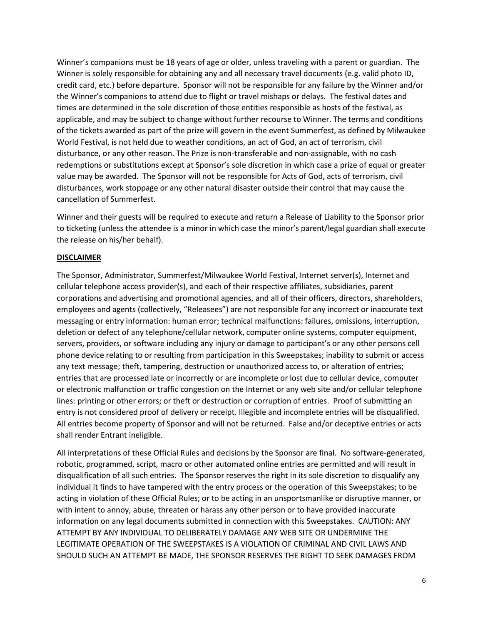Winner's companions must be 18 years of age or older, unless traveling with a parent or guardian. The Winner is solely responsible for obtaining any and all necessary travel documents (e.g. valid photo ID, credit card, etc.) before departure. Sponsor will not be responsible for any failure by the Winner and/or the Winner's companions to attend due to flight or travel mishaps or delays. The festival dates and times are determined in the sole discretion of those entities responsible as hosts of the festival, as applicable, and may be subject to change without further recourse to Winner. The terms and conditions of the tickets awarded as part of the prize will govern in the event Summerfest, as defined by Milwaukee World Festival, is not held due to weather conditions, an act of God, an act of terrorism, civil disturbance, or any other reason. The Prize is non-transferable and non-assignable, with no cash redemptions or substitutions except at Sponsor's sole discretion in which case a prize of equal or greater value may be awarded. The Sponsor will not be responsible for Acts of God, acts of terrorism, civil disturbances, work stoppage or any other natural disaster outside their control that may cause the cancellation of Summerfest.

Winner and their guests will be required to execute and return a Release of Liability to the Sponsor prior to ticketing (unless the attendee is a minor in which case the minor's parent/legal guardian shall execute the release on his/her behalf).

### **DISCLAIMER**

The Sponsor, Administrator, Summerfest/Milwaukee World Festival, Internet server(s), Internet and cellular telephone access provider(s), and each of their respective affiliates, subsidiaries, parent corporations and advertising and promotional agencies, and all of their officers, directors, shareholders, employees and agents (collectively, "Releasees") are not responsible for any incorrect or inaccurate text messaging or entry information: human error; technical malfunctions: failures, omissions, interruption, deletion or defect of any telephone/cellular network, computer online systems, computer equipment, servers, providers, or software including any injury or damage to participant's or any other persons cell phone device relating to or resulting from participation in this Sweepstakes; inability to submit or access any text message; theft, tampering, destruction or unauthorized access to, or alteration of entries; entries that are processed late or incorrectly or are incomplete or lost due to cellular device, computer or electronic malfunction or traffic congestion on the Internet or any web site and/or cellular telephone lines: printing or other errors; or theft or destruction or corruption of entries. Proof of submitting an entry is not considered proof of delivery or receipt. Illegible and incomplete entries will be disqualified. All entries become property of Sponsor and will not be returned. False and/or deceptive entries or acts shall render Entrant ineligible.

All interpretations of these Official Rules and decisions by the Sponsor are final. No software-generated, robotic, programmed, script, macro or other automated online entries are permitted and will result in disqualification of all such entries. The Sponsor reserves the right in its sole discretion to disqualify any individual it finds to have tampered with the entry process or the operation of this Sweepstakes; to be acting in violation of these Official Rules; or to be acting in an unsportsmanlike or disruptive manner, or with intent to annoy, abuse, threaten or harass any other person or to have provided inaccurate information on any legal documents submitted in connection with this Sweepstakes. CAUTION: ANY ATTEMPT BY ANY INDIVIDUAL TO DELIBERATELY DAMAGE ANY WEB SITE OR UNDERMINE THE LEGITIMATE OPERATION OF THE SWEEPSTAKES IS A VIOLATION OF CRIMINAL AND CIVIL LAWS AND SHOULD SUCH AN ATTEMPT BE MADE, THE SPONSOR RESERVES THE RIGHT TO SEEK DAMAGES FROM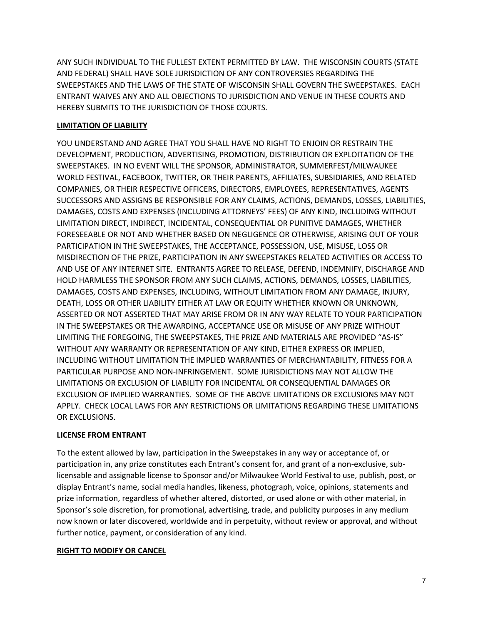ANY SUCH INDIVIDUAL TO THE FULLEST EXTENT PERMITTED BY LAW. THE WISCONSIN COURTS (STATE AND FEDERAL) SHALL HAVE SOLE JURISDICTION OF ANY CONTROVERSIES REGARDING THE SWEEPSTAKES AND THE LAWS OF THE STATE OF WISCONSIN SHALL GOVERN THE SWEEPSTAKES. EACH ENTRANT WAIVES ANY AND ALL OBJECTIONS TO JURISDICTION AND VENUE IN THESE COURTS AND HEREBY SUBMITS TO THE JURISDICTION OF THOSE COURTS.

# **LIMITATION OF LIABILITY**

YOU UNDERSTAND AND AGREE THAT YOU SHALL HAVE NO RIGHT TO ENJOIN OR RESTRAIN THE DEVELOPMENT, PRODUCTION, ADVERTISING, PROMOTION, DISTRIBUTION OR EXPLOITATION OF THE SWEEPSTAKES. IN NO EVENT WILL THE SPONSOR, ADMINISTRATOR, SUMMERFEST/MILWAUKEE WORLD FESTIVAL, FACEBOOK, TWITTER, OR THEIR PARENTS, AFFILIATES, SUBSIDIARIES, AND RELATED COMPANIES, OR THEIR RESPECTIVE OFFICERS, DIRECTORS, EMPLOYEES, REPRESENTATIVES, AGENTS SUCCESSORS AND ASSIGNS BE RESPONSIBLE FOR ANY CLAIMS, ACTIONS, DEMANDS, LOSSES, LIABILITIES, DAMAGES, COSTS AND EXPENSES (INCLUDING ATTORNEYS' FEES) OF ANY KIND, INCLUDING WITHOUT LIMITATION DIRECT, INDIRECT, INCIDENTAL, CONSEQUENTIAL OR PUNITIVE DAMAGES, WHETHER FORESEEABLE OR NOT AND WHETHER BASED ON NEGLIGENCE OR OTHERWISE, ARISING OUT OF YOUR PARTICIPATION IN THE SWEEPSTAKES, THE ACCEPTANCE, POSSESSION, USE, MISUSE, LOSS OR MISDIRECTION OF THE PRIZE, PARTICIPATION IN ANY SWEEPSTAKES RELATED ACTIVITIES OR ACCESS TO AND USE OF ANY INTERNET SITE. ENTRANTS AGREE TO RELEASE, DEFEND, INDEMNIFY, DISCHARGE AND HOLD HARMLESS THE SPONSOR FROM ANY SUCH CLAIMS, ACTIONS, DEMANDS, LOSSES, LIABILITIES, DAMAGES, COSTS AND EXPENSES, INCLUDING, WITHOUT LIMITATION FROM ANY DAMAGE, INJURY, DEATH, LOSS OR OTHER LIABILITY EITHER AT LAW OR EQUITY WHETHER KNOWN OR UNKNOWN, ASSERTED OR NOT ASSERTED THAT MAY ARISE FROM OR IN ANY WAY RELATE TO YOUR PARTICIPATION IN THE SWEEPSTAKES OR THE AWARDING, ACCEPTANCE USE OR MISUSE OF ANY PRIZE WITHOUT LIMITING THE FOREGOING, THE SWEEPSTAKES, THE PRIZE AND MATERIALS ARE PROVIDED "AS-IS" WITHOUT ANY WARRANTY OR REPRESENTATION OF ANY KIND, EITHER EXPRESS OR IMPLIED, INCLUDING WITHOUT LIMITATION THE IMPLIED WARRANTIES OF MERCHANTABILITY, FITNESS FOR A PARTICULAR PURPOSE AND NON-INFRINGEMENT. SOME JURISDICTIONS MAY NOT ALLOW THE LIMITATIONS OR EXCLUSION OF LIABILITY FOR INCIDENTAL OR CONSEQUENTIAL DAMAGES OR EXCLUSION OF IMPLIED WARRANTIES. SOME OF THE ABOVE LIMITATIONS OR EXCLUSIONS MAY NOT APPLY. CHECK LOCAL LAWS FOR ANY RESTRICTIONS OR LIMITATIONS REGARDING THESE LIMITATIONS OR EXCLUSIONS.

## **LICENSE FROM ENTRANT**

To the extent allowed by law, participation in the Sweepstakes in any way or acceptance of, or participation in, any prize constitutes each Entrant's consent for, and grant of a non-exclusive, sublicensable and assignable license to Sponsor and/or Milwaukee World Festival to use, publish, post, or display Entrant's name, social media handles, likeness, photograph, voice, opinions, statements and prize information, regardless of whether altered, distorted, or used alone or with other material, in Sponsor's sole discretion, for promotional, advertising, trade, and publicity purposes in any medium now known or later discovered, worldwide and in perpetuity, without review or approval, and without further notice, payment, or consideration of any kind.

## **RIGHT TO MODIFY OR CANCEL**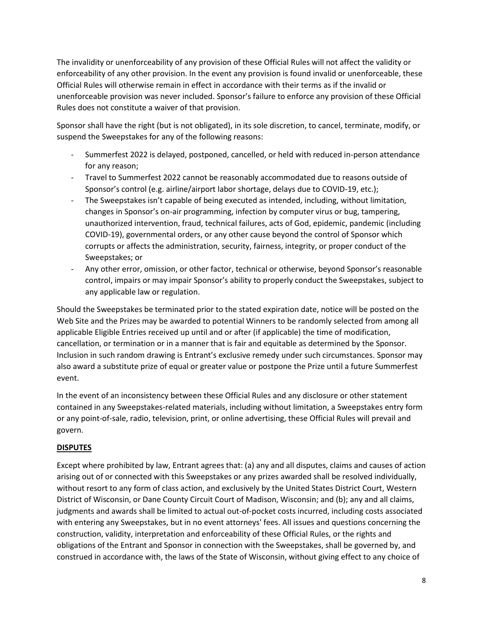The invalidity or unenforceability of any provision of these Official Rules will not affect the validity or enforceability of any other provision. In the event any provision is found invalid or unenforceable, these Official Rules will otherwise remain in effect in accordance with their terms as if the invalid or unenforceable provision was never included. Sponsor's failure to enforce any provision of these Official Rules does not constitute a waiver of that provision.

Sponsor shall have the right (but is not obligated), in its sole discretion, to cancel, terminate, modify, or suspend the Sweepstakes for any of the following reasons:

- Summerfest 2022 is delayed, postponed, cancelled, or held with reduced in-person attendance for any reason;
- Travel to Summerfest 2022 cannot be reasonably accommodated due to reasons outside of Sponsor's control (e.g. airline/airport labor shortage, delays due to COVID-19, etc.);
- The Sweepstakes isn't capable of being executed as intended, including, without limitation, changes in Sponsor's on-air programming, infection by computer virus or bug, tampering, unauthorized intervention, fraud, technical failures, acts of God, epidemic, pandemic (including COVID-19), governmental orders, or any other cause beyond the control of Sponsor which corrupts or affects the administration, security, fairness, integrity, or proper conduct of the Sweepstakes; or
- Any other error, omission, or other factor, technical or otherwise, beyond Sponsor's reasonable control, impairs or may impair Sponsor's ability to properly conduct the Sweepstakes, subject to any applicable law or regulation.

Should the Sweepstakes be terminated prior to the stated expiration date, notice will be posted on the Web Site and the Prizes may be awarded to potential Winners to be randomly selected from among all applicable Eligible Entries received up until and or after (if applicable) the time of modification, cancellation, or termination or in a manner that is fair and equitable as determined by the Sponsor. Inclusion in such random drawing is Entrant's exclusive remedy under such circumstances. Sponsor may also award a substitute prize of equal or greater value or postpone the Prize until a future Summerfest event.

In the event of an inconsistency between these Official Rules and any disclosure or other statement contained in any Sweepstakes-related materials, including without limitation, a Sweepstakes entry form or any point-of-sale, radio, television, print, or online advertising, these Official Rules will prevail and govern.

## **DISPUTES**

Except where prohibited by law, Entrant agrees that: (a) any and all disputes, claims and causes of action arising out of or connected with this Sweepstakes or any prizes awarded shall be resolved individually, without resort to any form of class action, and exclusively by the United States District Court, Western District of Wisconsin, or Dane County Circuit Court of Madison, Wisconsin; and (b); any and all claims, judgments and awards shall be limited to actual out-of-pocket costs incurred, including costs associated with entering any Sweepstakes, but in no event attorneys' fees. All issues and questions concerning the construction, validity, interpretation and enforceability of these Official Rules, or the rights and obligations of the Entrant and Sponsor in connection with the Sweepstakes, shall be governed by, and construed in accordance with, the laws of the State of Wisconsin, without giving effect to any choice of